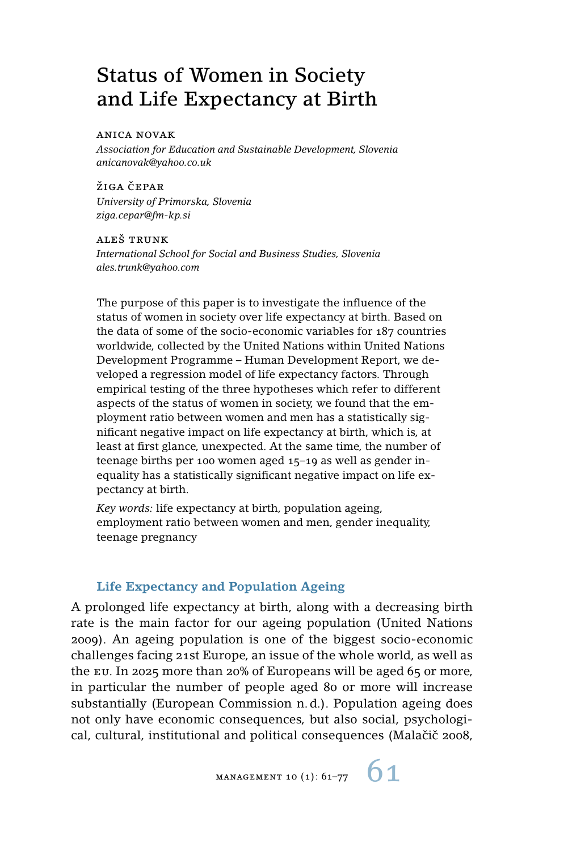# Status of Women in Society and Life Expectancy at Birth

#### anica novak

*Association for Education and Sustainable Development, Slovenia anicanovak@yahoo.co.uk*

ŽIGA ČEPAR *University of Primorska, Slovenia ziga.cepar@fm-kp.si*

aleš trunk *International School for Social and Business Studies, Slovenia ales.trunk@yahoo.com*

The purpose of this paper is to investigate the influence of the status of women in society over life expectancy at birth. Based on the data of some of the socio-economic variables for 187 countries worldwide, collected by the United Nations within United Nations Development Programme – Human Development Report, we developed a regression model of life expectancy factors. Through empirical testing of the three hypotheses which refer to different aspects of the status of women in society, we found that the employment ratio between women and men has a statistically significant negative impact on life expectancy at birth, which is, at least at first glance, unexpected. At the same time, the number of teenage births per 100 women aged 15–19 as well as gender inequality has a statistically significant negative impact on life expectancy at birth.

*Key words:* life expectancy at birth, population ageing, employment ratio between women and men, gender inequality, teenage pregnancy

#### **Life Expectancy and Population Ageing**

A prolonged life expectancy at birth, along with a decreasing birth rate is the main factor for our ageing population (United Nations 2009). An ageing population is one of the biggest socio-economic challenges facing 21st Europe, an issue of the whole world, as well as the eu. In 2025 more than 20% of Europeans will be aged 65 or more, in particular the number of people aged 80 or more will increase substantially (European Commission n. d.). Population ageing does not only have economic consequences, but also social, psychological, cultural, institutional and political consequences (Malačič 2008,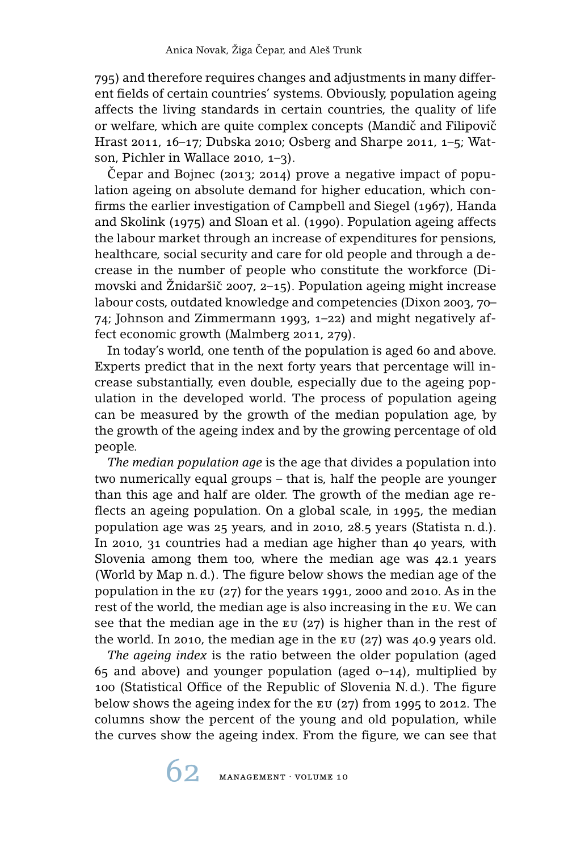795) and therefore requires changes and adjustments in many different fields of certain countries' systems. Obviously, population ageing affects the living standards in certain countries, the quality of life or welfare, which are quite complex concepts (Mandič and Filipovič Hrast 2011, 16–17; Dubska 2010; Osberg and Sharpe 2011, 1–5; Watson, Pichler in Wallace 2010, 1–3).

Cepar and Bojnec (2013; 2014) prove a negative impact of population ageing on absolute demand for higher education, which confirms the earlier investigation of Campbell and Siegel (1967), Handa and Skolink (1975) and Sloan et al. (1990). Population ageing affects the labour market through an increase of expenditures for pensions, healthcare, social security and care for old people and through a decrease in the number of people who constitute the workforce (Dimovski and Žnidaršič 2007, 2–15). Population ageing might increase labour costs, outdated knowledge and competencies (Dixon 2003, 70– 74; Johnson and Zimmermann 1993, 1–22) and might negatively affect economic growth (Malmberg 2011, 279).

In today's world, one tenth of the population is aged 60 and above. Experts predict that in the next forty years that percentage will increase substantially, even double, especially due to the ageing population in the developed world. The process of population ageing can be measured by the growth of the median population age, by the growth of the ageing index and by the growing percentage of old people.

*The median population age* is the age that divides a population into two numerically equal groups – that is, half the people are younger than this age and half are older. The growth of the median age reflects an ageing population. On a global scale, in 1995, the median population age was 25 years, and in 2010, 28.5 years (Statista n. d.). In 2010, 31 countries had a median age higher than 40 years, with Slovenia among them too, where the median age was 42.1 years (World by Map n. d.). The figure below shows the median age of the population in the  $EU(27)$  for the years 1991, 2000 and 2010. As in the rest of the world, the median age is also increasing in the eu. We can see that the median age in the  $E_U(27)$  is higher than in the rest of the world. In 2010, the median age in the  $EU$  (27) was 40.9 years old.

*The ageing index* is the ratio between the older population (aged 65 and above) and younger population (aged  $0-14$ ), multiplied by 100 (Statistical Office of the Republic of Slovenia N. d.). The figure below shows the ageing index for the eu (27) from 1995 to 2012. The columns show the percent of the young and old population, while the curves show the ageing index. From the figure, we can see that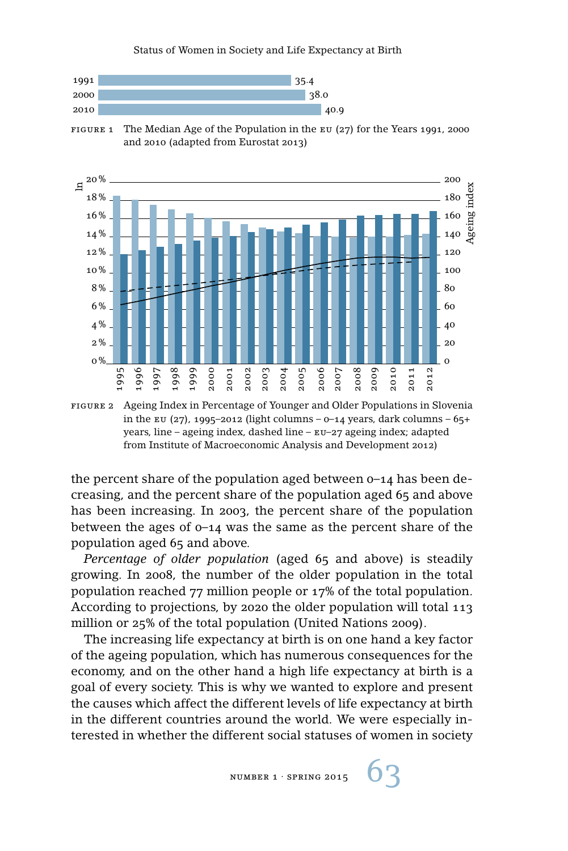

FIGURE 1 The Median Age of the Population in the EU (27) for the Years 1991, 2000 and 2010 (adapted from Eurostat 2013)



figure 2 Ageing Index in Percentage of Younger and Older Populations in Slovenia in the EU (27), 1995-2012 (light columns – 0-14 years, dark columns –  $65+$ years, line – ageing index, dashed line – eu–27 ageing index; adapted from Institute of Macroeconomic Analysis and Development 2012)

the percent share of the population aged between 0–14 has been decreasing, and the percent share of the population aged 65 and above has been increasing. In 2003, the percent share of the population between the ages of 0–14 was the same as the percent share of the population aged 65 and above.

*Percentage of older population* (aged 65 and above) is steadily growing. In 2008, the number of the older population in the total population reached 77 million people or 17% of the total population. According to projections, by 2020 the older population will total 113 million or 25% of the total population (United Nations 2009).

The increasing life expectancy at birth is on one hand a key factor of the ageing population, which has numerous consequences for the economy, and on the other hand a high life expectancy at birth is a goal of every society. This is why we wanted to explore and present the causes which affect the different levels of life expectancy at birth in the different countries around the world. We were especially interested in whether the different social statuses of women in society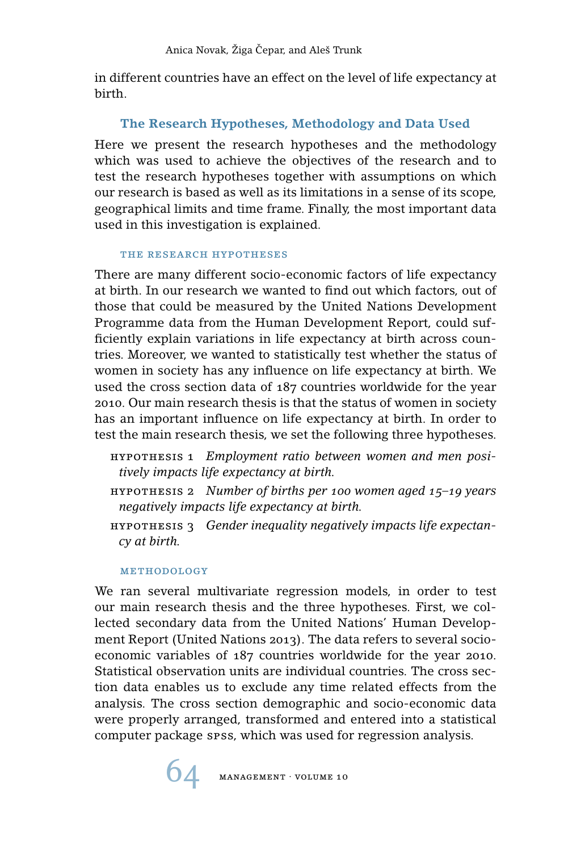in different countries have an effect on the level of life expectancy at birth.

# **The Research Hypotheses, Methodology and Data Used**

Here we present the research hypotheses and the methodology which was used to achieve the objectives of the research and to test the research hypotheses together with assumptions on which our research is based as well as its limitations in a sense of its scope, geographical limits and time frame. Finally, the most important data used in this investigation is explained.

## the research hypotheses

There are many different socio-economic factors of life expectancy at birth. In our research we wanted to find out which factors, out of those that could be measured by the United Nations Development Programme data from the Human Development Report, could sufficiently explain variations in life expectancy at birth across countries. Moreover, we wanted to statistically test whether the status of women in society has any influence on life expectancy at birth. We used the cross section data of 187 countries worldwide for the year 2010. Our main research thesis is that the status of women in society has an important influence on life expectancy at birth. In order to test the main research thesis, we set the following three hypotheses.

- hypothesis 1 *Employment ratio between women and men positively impacts life expectancy at birth.*
- hypothesis 2 *Number of births per 100 women aged 15–19 years negatively impacts life expectancy at birth.*
- hypothesis 3 *Gender inequality negatively impacts life expectancy at birth.*

## methodology

We ran several multivariate regression models, in order to test our main research thesis and the three hypotheses. First, we collected secondary data from the United Nations' Human Development Report (United Nations 2013). The data refers to several socioeconomic variables of 187 countries worldwide for the year 2010. Statistical observation units are individual countries. The cross section data enables us to exclude any time related effects from the analysis. The cross section demographic and socio-economic data were properly arranged, transformed and entered into a statistical computer package spss, which was used for regression analysis.

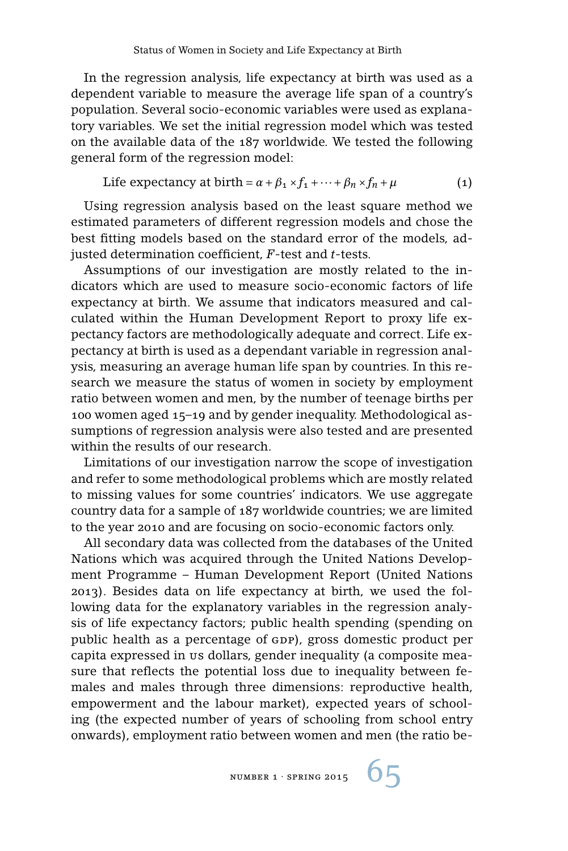In the regression analysis, life expectancy at birth was used as a dependent variable to measure the average life span of a country's population. Several socio-economic variables were used as explanatory variables. We set the initial regression model which was tested on the available data of the 187 worldwide. We tested the following general form of the regression model:

Life expectancy at birth = 
$$
\alpha + \beta_1 \times f_1 + \dots + \beta_n \times f_n + \mu
$$
 (1)

Using regression analysis based on the least square method we estimated parameters of different regression models and chose the best fitting models based on the standard error of the models, adjusted determination coefficient, *F*-test and *t*-tests.

Assumptions of our investigation are mostly related to the indicators which are used to measure socio-economic factors of life expectancy at birth. We assume that indicators measured and calculated within the Human Development Report to proxy life expectancy factors are methodologically adequate and correct. Life expectancy at birth is used as a dependant variable in regression analysis, measuring an average human life span by countries. In this research we measure the status of women in society by employment ratio between women and men, by the number of teenage births per 100 women aged 15–19 and by gender inequality. Methodological assumptions of regression analysis were also tested and are presented within the results of our research.

Limitations of our investigation narrow the scope of investigation and refer to some methodological problems which are mostly related to missing values for some countries' indicators. We use aggregate country data for a sample of 187 worldwide countries; we are limited to the year 2010 and are focusing on socio-economic factors only.

All secondary data was collected from the databases of the United Nations which was acquired through the United Nations Development Programme – Human Development Report (United Nations 2013). Besides data on life expectancy at birth, we used the following data for the explanatory variables in the regression analysis of life expectancy factors; public health spending (spending on public health as a percentage of GDP), gross domestic product per capita expressed in us dollars, gender inequality (a composite measure that reflects the potential loss due to inequality between females and males through three dimensions: reproductive health, empowerment and the labour market), expected years of schooling (the expected number of years of schooling from school entry onwards), employment ratio between women and men (the ratio be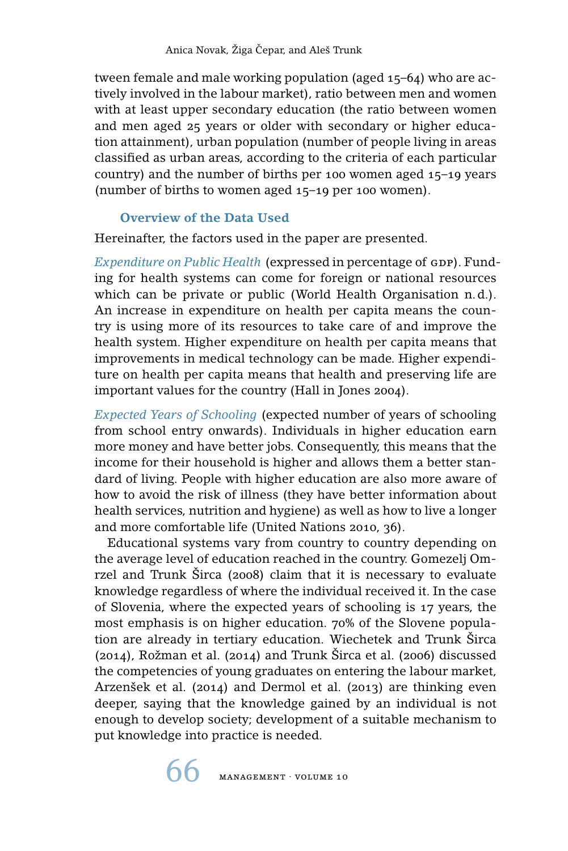tween female and male working population (aged 15–64) who are actively involved in the labour market), ratio between men and women with at least upper secondary education (the ratio between women and men aged 25 years or older with secondary or higher education attainment), urban population (number of people living in areas classified as urban areas, according to the criteria of each particular country) and the number of births per 100 women aged 15–19 years (number of births to women aged 15–19 per 100 women).

#### **Overview of the Data Used**

Hereinafter, the factors used in the paper are presented.

*Expenditure on Public Health* (expressed in percentage of GDP). Funding for health systems can come for foreign or national resources which can be private or public (World Health Organisation n. d.). An increase in expenditure on health per capita means the country is using more of its resources to take care of and improve the health system. Higher expenditure on health per capita means that improvements in medical technology can be made. Higher expenditure on health per capita means that health and preserving life are important values for the country (Hall in Jones 2004).

*Expected Years of Schooling* (expected number of years of schooling from school entry onwards). Individuals in higher education earn more money and have better jobs. Consequently, this means that the income for their household is higher and allows them a better standard of living. People with higher education are also more aware of how to avoid the risk of illness (they have better information about health services, nutrition and hygiene) as well as how to live a longer and more comfortable life (United Nations 2010, 36).

Educational systems vary from country to country depending on the average level of education reached in the country. Gomezelj Omrzel and Trunk Širca (2008) claim that it is necessary to evaluate knowledge regardless of where the individual received it. In the case of Slovenia, where the expected years of schooling is 17 years, the most emphasis is on higher education. 70% of the Slovene population are already in tertiary education. Wiechetek and Trunk Širca (2014), Rožman et al. (2014) and Trunk Širca et al. (2006) discussed the competencies of young graduates on entering the labour market, Arzenšek et al. (2014) and Dermol et al. (2013) are thinking even deeper, saying that the knowledge gained by an individual is not enough to develop society; development of a suitable mechanism to put knowledge into practice is needed.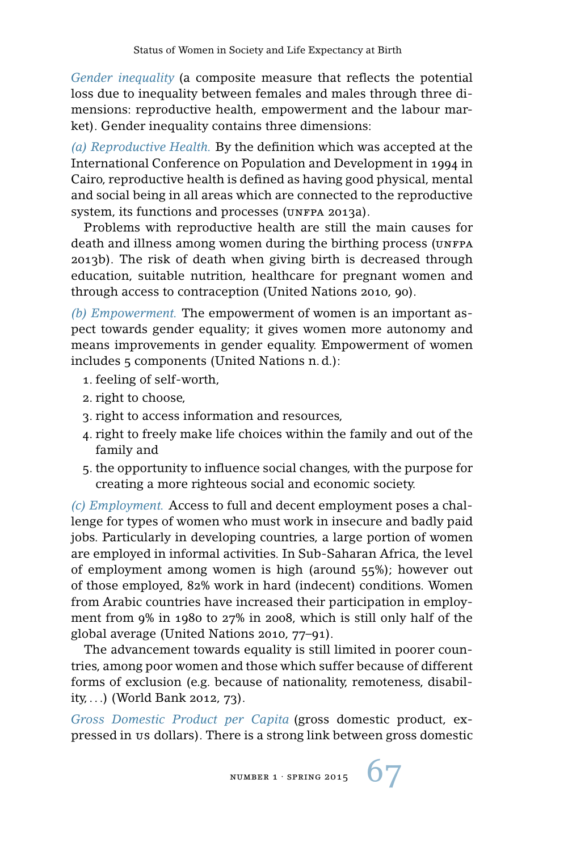*Gender inequality* (a composite measure that reflects the potential loss due to inequality between females and males through three dimensions: reproductive health, empowerment and the labour market). Gender inequality contains three dimensions:

*(a) Reproductive Health.* By the definition which was accepted at the International Conference on Population and Development in 1994 in Cairo, reproductive health is defined as having good physical, mental and social being in all areas which are connected to the reproductive system, its functions and processes (UNFPA 2013a).

Problems with reproductive health are still the main causes for death and illness among women during the birthing process (UNFPA) 2013b). The risk of death when giving birth is decreased through education, suitable nutrition, healthcare for pregnant women and through access to contraception (United Nations 2010, 90).

*(b) Empowerment.* The empowerment of women is an important aspect towards gender equality; it gives women more autonomy and means improvements in gender equality. Empowerment of women includes 5 components (United Nations n. d.):

- 1. feeling of self-worth,
- 2. right to choose,
- 3. right to access information and resources,
- 4. right to freely make life choices within the family and out of the family and
- 5. the opportunity to influence social changes, with the purpose for creating a more righteous social and economic society.

*(c) Employment.* Access to full and decent employment poses a challenge for types of women who must work in insecure and badly paid jobs. Particularly in developing countries, a large portion of women are employed in informal activities. In Sub-Saharan Africa, the level of employment among women is high (around 55%); however out of those employed, 82% work in hard (indecent) conditions. Women from Arabic countries have increased their participation in employment from 9% in 1980 to 27% in 2008, which is still only half of the global average (United Nations 2010, 77–91).

The advancement towards equality is still limited in poorer countries, among poor women and those which suffer because of different forms of exclusion (e.g. because of nationality, remoteness, disability, . . .) (World Bank 2012, 73).

*Gross Domestic Product per Capita* (gross domestic product, expressed in us dollars). There is a strong link between gross domestic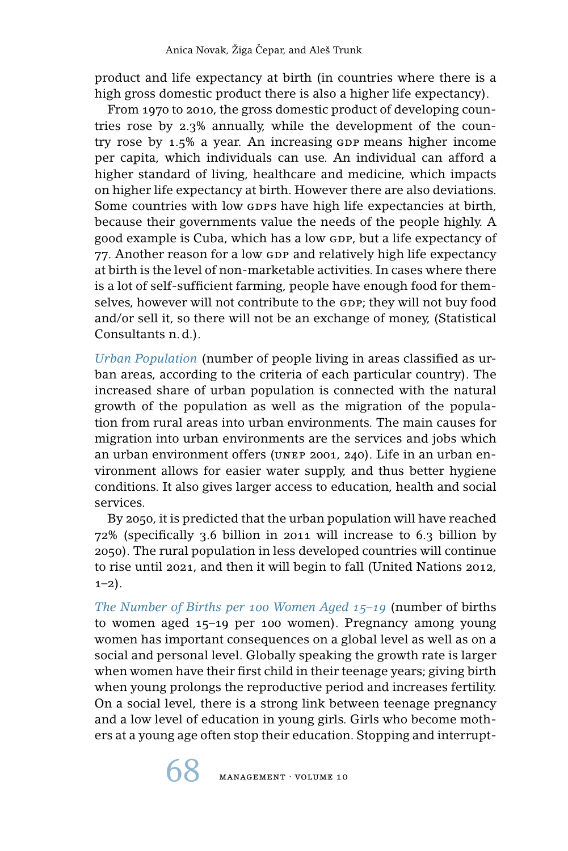product and life expectancy at birth (in countries where there is a high gross domestic product there is also a higher life expectancy).

From 1970 to 2010, the gross domestic product of developing countries rose by 2.3% annually, while the development of the country rose by 1.5% a year. An increasing GDP means higher income per capita, which individuals can use. An individual can afford a higher standard of living, healthcare and medicine, which impacts on higher life expectancy at birth. However there are also deviations. Some countries with low GDPS have high life expectancies at birth, because their governments value the needs of the people highly. A good example is Cuba, which has a low GDP, but a life expectancy of 77. Another reason for a low GDP and relatively high life expectancy at birth is the level of non-marketable activities. In cases where there is a lot of self-sufficient farming, people have enough food for themselves, however will not contribute to the GDP; they will not buy food and/or sell it, so there will not be an exchange of money, (Statistical Consultants n. d.).

*Urban Population* (number of people living in areas classified as urban areas, according to the criteria of each particular country). The increased share of urban population is connected with the natural growth of the population as well as the migration of the population from rural areas into urban environments. The main causes for migration into urban environments are the services and jobs which an urban environment offers (unep 2001, 240). Life in an urban environment allows for easier water supply, and thus better hygiene conditions. It also gives larger access to education, health and social services.

By 2050, it is predicted that the urban population will have reached 72% (specifically 3.6 billion in 2011 will increase to 6.3 billion by 2050). The rural population in less developed countries will continue to rise until 2021, and then it will begin to fall (United Nations 2012,  $1-2$ ).

*The Number of Births per 100 Women Aged 15–19* (number of births to women aged 15–19 per 100 women). Pregnancy among young women has important consequences on a global level as well as on a social and personal level. Globally speaking the growth rate is larger when women have their first child in their teenage years; giving birth when young prolongs the reproductive period and increases fertility. On a social level, there is a strong link between teenage pregnancy and a low level of education in young girls. Girls who become mothers at a young age often stop their education. Stopping and interrupt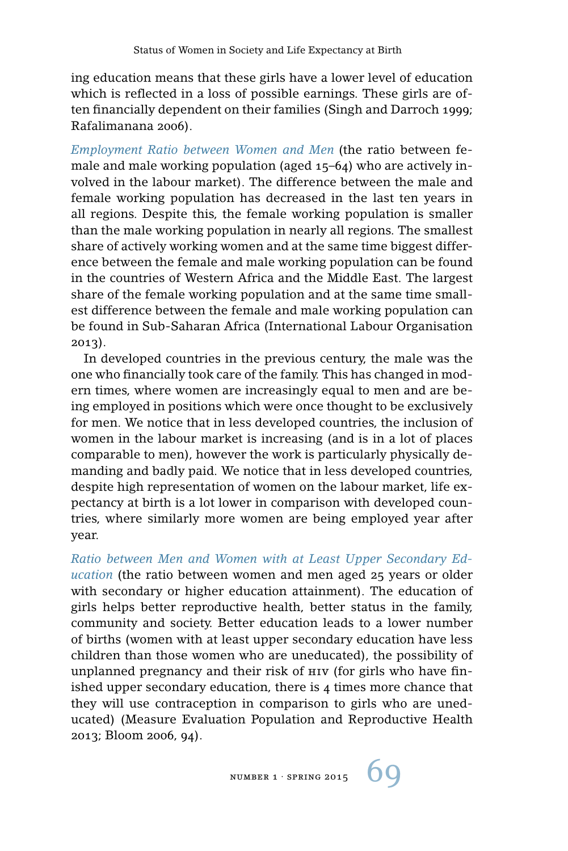ing education means that these girls have a lower level of education which is reflected in a loss of possible earnings. These girls are often financially dependent on their families (Singh and Darroch 1999; Rafalimanana 2006).

*Employment Ratio between Women and Men* (the ratio between female and male working population (aged 15–64) who are actively involved in the labour market). The difference between the male and female working population has decreased in the last ten years in all regions. Despite this, the female working population is smaller than the male working population in nearly all regions. The smallest share of actively working women and at the same time biggest difference between the female and male working population can be found in the countries of Western Africa and the Middle East. The largest share of the female working population and at the same time smallest difference between the female and male working population can be found in Sub-Saharan Africa (International Labour Organisation 2013).

In developed countries in the previous century, the male was the one who financially took care of the family. This has changed in modern times, where women are increasingly equal to men and are being employed in positions which were once thought to be exclusively for men. We notice that in less developed countries, the inclusion of women in the labour market is increasing (and is in a lot of places comparable to men), however the work is particularly physically demanding and badly paid. We notice that in less developed countries, despite high representation of women on the labour market, life expectancy at birth is a lot lower in comparison with developed countries, where similarly more women are being employed year after year.

*Ratio between Men and Women with at Least Upper Secondary Education* (the ratio between women and men aged 25 years or older with secondary or higher education attainment). The education of girls helps better reproductive health, better status in the family, community and society. Better education leads to a lower number of births (women with at least upper secondary education have less children than those women who are uneducated), the possibility of unplanned pregnancy and their risk of hiv (for girls who have finished upper secondary education, there is 4 times more chance that they will use contraception in comparison to girls who are uneducated) (Measure Evaluation Population and Reproductive Health 2013; Bloom 2006, 94).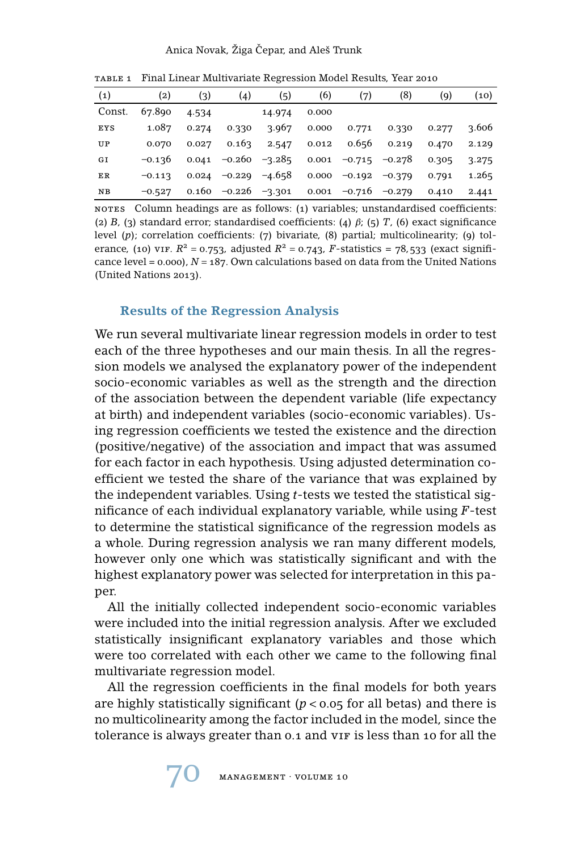#### Anica Novak, Žiga Čepar, and Aleš Trunk

| -------           |                   |       |                         |        |       |                       |          |       |       |
|-------------------|-------------------|-------|-------------------------|--------|-------|-----------------------|----------|-------|-------|
| $\left( 1\right)$ | $\left( 2\right)$ | (3)   | (4)                     | 〔5〕    | (6)   | (7)                   | (8)      | (9)   | (10)  |
| Const.            | 67.890            | 4.534 |                         | 14.974 | 0.000 |                       |          |       |       |
| <b>EYS</b>        | 1.087             | 0.274 | 0.330                   | 3.967  | 0.000 | 0.771                 | 0.330    | 0.277 | 3.606 |
| UP                | 0.070             | 0.027 | 0.163                   | 2.547  | 0.012 | 0.656                 | 0.219    | 0.470 | 2.129 |
| GI                | $-0.136$          |       | $0.041 - 0.260 - 3.285$ |        |       | $0.001 -0.715 -0.278$ |          | 0.305 | 3.275 |
| ER                | $-0.113$          | 0.024 | -0.229 -4.658           |        |       | $0.000 -0.192$        | $-0.379$ | 0.791 | 1.265 |
| NB                | $-0.527$          |       | $0.160 -0.226 -3.301$   |        | 0.001 | $-0.716$ $-0.279$     |          | 0.410 | 2.441 |

table 1 Final Linear Multivariate Regression Model Results, Year 2010

nores Column headings are as follows: (1) variables; unstandardised coefficients: (2) *B*, (3) standard error; standardised coefficients: (4)  $\beta$ ; (5) *T*, (6) exact significance level (p); correlation coefficients: (7) bivariate, (8) partial; multicolinearity; (9) tolerance, (10) vif.  $R^2 = 0.753$ , adjusted  $R^2 = 0.743$ , *F*-statistics = 78,533 (exact significance level = 0.000), *N* = 187. Own calculations based on data from the United Nations (United Nations 2013).

#### **Results of the Regression Analysis**

We run several multivariate linear regression models in order to test each of the three hypotheses and our main thesis. In all the regression models we analysed the explanatory power of the independent socio-economic variables as well as the strength and the direction of the association between the dependent variable (life expectancy at birth) and independent variables (socio-economic variables). Using regression coefficients we tested the existence and the direction (positive/negative) of the association and impact that was assumed for each factor in each hypothesis. Using adjusted determination coefficient we tested the share of the variance that was explained by the independent variables. Using *t*-tests we tested the statistical significance of each individual explanatory variable, while using *F*-test to determine the statistical significance of the regression models as a whole. During regression analysis we ran many different models, however only one which was statistically significant and with the highest explanatory power was selected for interpretation in this paper.

All the initially collected independent socio-economic variables were included into the initial regression analysis. After we excluded statistically insignificant explanatory variables and those which were too correlated with each other we came to the following final multivariate regression model.

All the regression coefficients in the final models for both years are highly statistically significant  $(p < 0.05$  for all betas) and there is no multicolinearity among the factor included in the model, since the tolerance is always greater than 0.1 and VIF is less than 10 for all the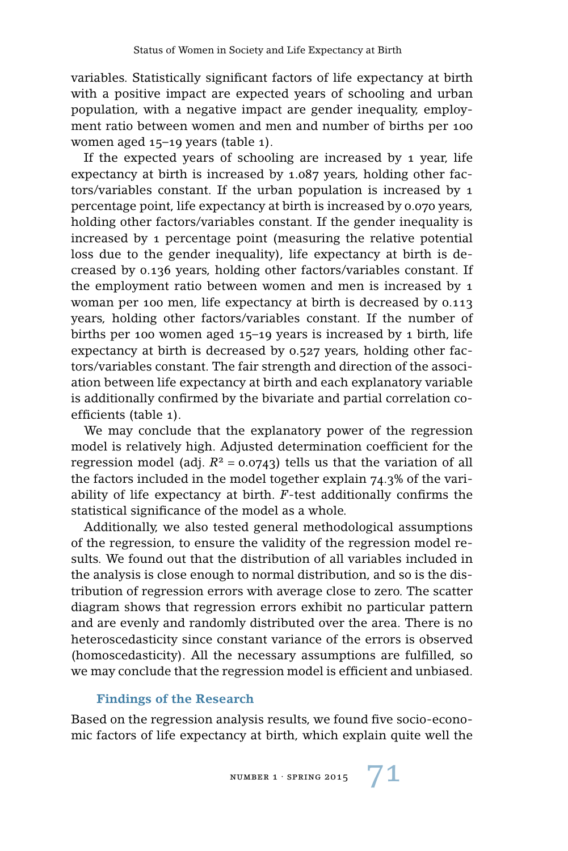variables. Statistically significant factors of life expectancy at birth with a positive impact are expected years of schooling and urban population, with a negative impact are gender inequality, employment ratio between women and men and number of births per 100 women aged 15–19 years (table 1).

If the expected years of schooling are increased by 1 year, life expectancy at birth is increased by 1.087 years, holding other factors/variables constant. If the urban population is increased by 1 percentage point, life expectancy at birth is increased by 0.070 years, holding other factors/variables constant. If the gender inequality is increased by 1 percentage point (measuring the relative potential loss due to the gender inequality), life expectancy at birth is decreased by 0.136 years, holding other factors/variables constant. If the employment ratio between women and men is increased by 1 woman per 100 men, life expectancy at birth is decreased by 0.113 years, holding other factors/variables constant. If the number of births per 100 women aged 15–19 years is increased by 1 birth, life expectancy at birth is decreased by 0.527 years, holding other factors/variables constant. The fair strength and direction of the association between life expectancy at birth and each explanatory variable is additionally confirmed by the bivariate and partial correlation coefficients (table 1).

We may conclude that the explanatory power of the regression model is relatively high. Adjusted determination coefficient for the regression model (adj.  $R^2$  = 0.0743) tells us that the variation of all the factors included in the model together explain 74.3% of the variability of life expectancy at birth. *F*-test additionally confirms the statistical significance of the model as a whole.

Additionally, we also tested general methodological assumptions of the regression, to ensure the validity of the regression model results. We found out that the distribution of all variables included in the analysis is close enough to normal distribution, and so is the distribution of regression errors with average close to zero. The scatter diagram shows that regression errors exhibit no particular pattern and are evenly and randomly distributed over the area. There is no heteroscedasticity since constant variance of the errors is observed (homoscedasticity). All the necessary assumptions are fulfilled, so we may conclude that the regression model is efficient and unbiased.

#### **Findings of the Research**

Based on the regression analysis results, we found five socio-economic factors of life expectancy at birth, which explain quite well the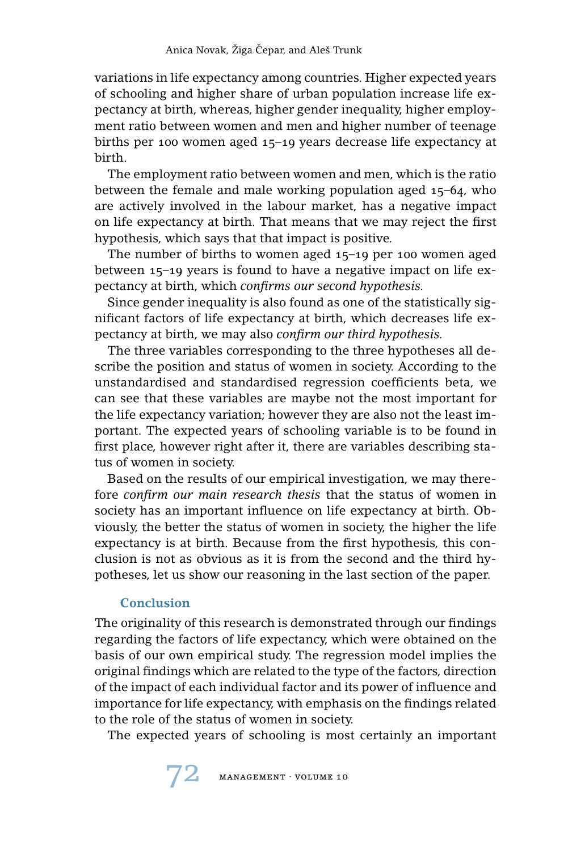variations in life expectancy among countries. Higher expected years of schooling and higher share of urban population increase life expectancy at birth, whereas, higher gender inequality, higher employment ratio between women and men and higher number of teenage births per 100 women aged 15–19 years decrease life expectancy at birth.

The employment ratio between women and men, which is the ratio between the female and male working population aged 15–64, who are actively involved in the labour market, has a negative impact on life expectancy at birth. That means that we may reject the first hypothesis, which says that that impact is positive.

The number of births to women aged 15–19 per 100 women aged between 15–19 years is found to have a negative impact on life expectancy at birth, which *confirms our second hypothesis.*

Since gender inequality is also found as one of the statistically significant factors of life expectancy at birth, which decreases life expectancy at birth, we may also *confirm our third hypothesis.*

The three variables corresponding to the three hypotheses all describe the position and status of women in society. According to the unstandardised and standardised regression coefficients beta, we can see that these variables are maybe not the most important for the life expectancy variation; however they are also not the least important. The expected years of schooling variable is to be found in first place, however right after it, there are variables describing status of women in society.

Based on the results of our empirical investigation, we may therefore *confirm our main research thesis* that the status of women in society has an important influence on life expectancy at birth. Obviously, the better the status of women in society, the higher the life expectancy is at birth. Because from the first hypothesis, this conclusion is not as obvious as it is from the second and the third hypotheses, let us show our reasoning in the last section of the paper.

## **Conclusion**

The originality of this research is demonstrated through our findings regarding the factors of life expectancy, which were obtained on the basis of our own empirical study. The regression model implies the original findings which are related to the type of the factors, direction of the impact of each individual factor and its power of influence and importance for life expectancy, with emphasis on the findings related to the role of the status of women in society.

The expected years of schooling is most certainly an important

72 management · volume 10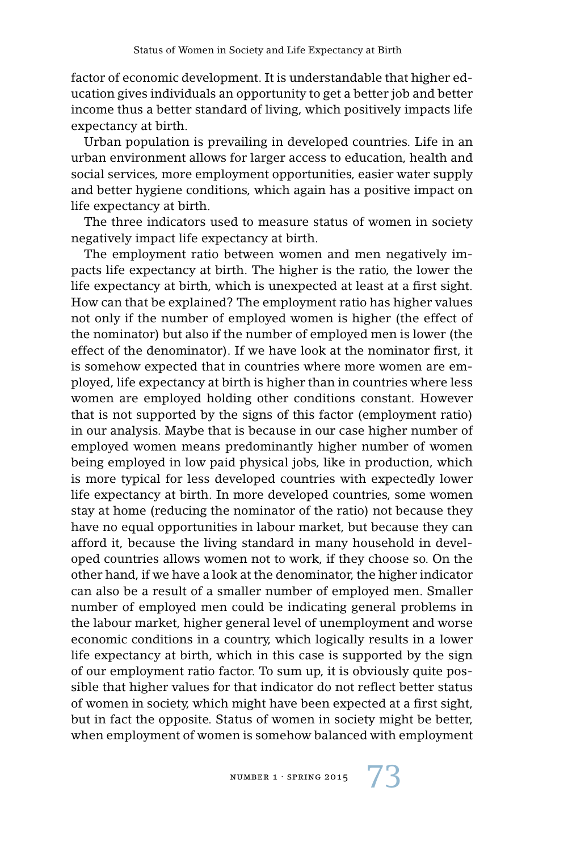factor of economic development. It is understandable that higher education gives individuals an opportunity to get a better job and better income thus a better standard of living, which positively impacts life expectancy at birth.

Urban population is prevailing in developed countries. Life in an urban environment allows for larger access to education, health and social services, more employment opportunities, easier water supply and better hygiene conditions, which again has a positive impact on life expectancy at birth.

The three indicators used to measure status of women in society negatively impact life expectancy at birth.

The employment ratio between women and men negatively impacts life expectancy at birth. The higher is the ratio, the lower the life expectancy at birth, which is unexpected at least at a first sight. How can that be explained? The employment ratio has higher values not only if the number of employed women is higher (the effect of the nominator) but also if the number of employed men is lower (the effect of the denominator). If we have look at the nominator first, it is somehow expected that in countries where more women are employed, life expectancy at birth is higher than in countries where less women are employed holding other conditions constant. However that is not supported by the signs of this factor (employment ratio) in our analysis. Maybe that is because in our case higher number of employed women means predominantly higher number of women being employed in low paid physical jobs, like in production, which is more typical for less developed countries with expectedly lower life expectancy at birth. In more developed countries, some women stay at home (reducing the nominator of the ratio) not because they have no equal opportunities in labour market, but because they can afford it, because the living standard in many household in developed countries allows women not to work, if they choose so. On the other hand, if we have a look at the denominator, the higher indicator can also be a result of a smaller number of employed men. Smaller number of employed men could be indicating general problems in the labour market, higher general level of unemployment and worse economic conditions in a country, which logically results in a lower life expectancy at birth, which in this case is supported by the sign of our employment ratio factor. To sum up, it is obviously quite possible that higher values for that indicator do not reflect better status of women in society, which might have been expected at a first sight, but in fact the opposite. Status of women in society might be better, when employment of women is somehow balanced with employment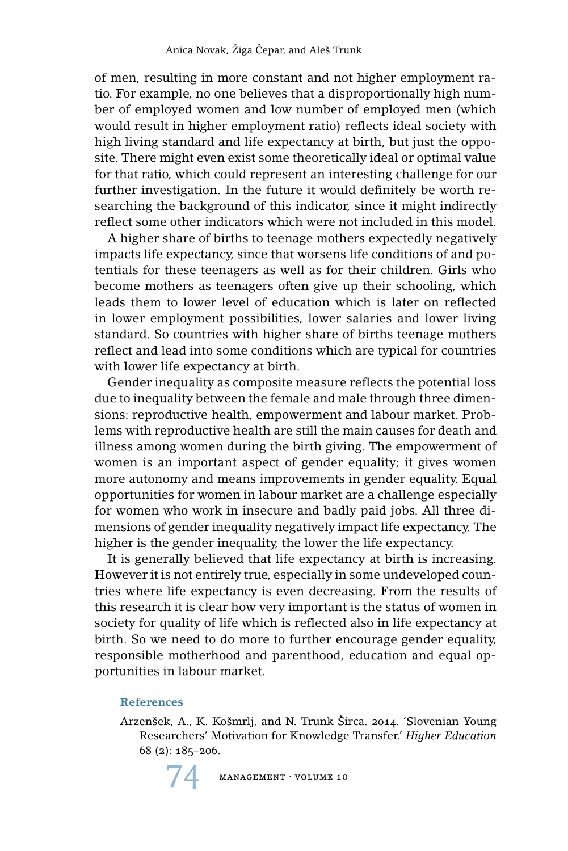of men, resulting in more constant and not higher employment ratio. For example, no one believes that a disproportionally high number of employed women and low number of employed men (which would result in higher employment ratio) reflects ideal society with high living standard and life expectancy at birth, but just the opposite. There might even exist some theoretically ideal or optimal value for that ratio, which could represent an interesting challenge for our further investigation. In the future it would definitely be worth researching the background of this indicator, since it might indirectly reflect some other indicators which were not included in this model.

A higher share of births to teenage mothers expectedly negatively impacts life expectancy, since that worsens life conditions of and potentials for these teenagers as well as for their children. Girls who become mothers as teenagers often give up their schooling, which leads them to lower level of education which is later on reflected in lower employment possibilities, lower salaries and lower living standard. So countries with higher share of births teenage mothers reflect and lead into some conditions which are typical for countries with lower life expectancy at birth.

Gender inequality as composite measure reflects the potential loss due to inequality between the female and male through three dimensions: reproductive health, empowerment and labour market. Problems with reproductive health are still the main causes for death and illness among women during the birth giving. The empowerment of women is an important aspect of gender equality; it gives women more autonomy and means improvements in gender equality. Equal opportunities for women in labour market are a challenge especially for women who work in insecure and badly paid jobs. All three dimensions of gender inequality negatively impact life expectancy. The higher is the gender inequality, the lower the life expectancy.

It is generally believed that life expectancy at birth is increasing. However it is not entirely true, especially in some undeveloped countries where life expectancy is even decreasing. From the results of this research it is clear how very important is the status of women in society for quality of life which is reflected also in life expectancy at birth. So we need to do more to further encourage gender equality, responsible motherhood and parenthood, education and equal opportunities in labour market.

#### **References**

Arzenšek, A., K. Košmrlj, and N. Trunk Širca. 2014. 'Slovenian Young Researchers' Motivation for Knowledge Transfer.' *Higher Education* 68 (2): 185–206.

 $MANAGEMENT \cdot VOLUME 10$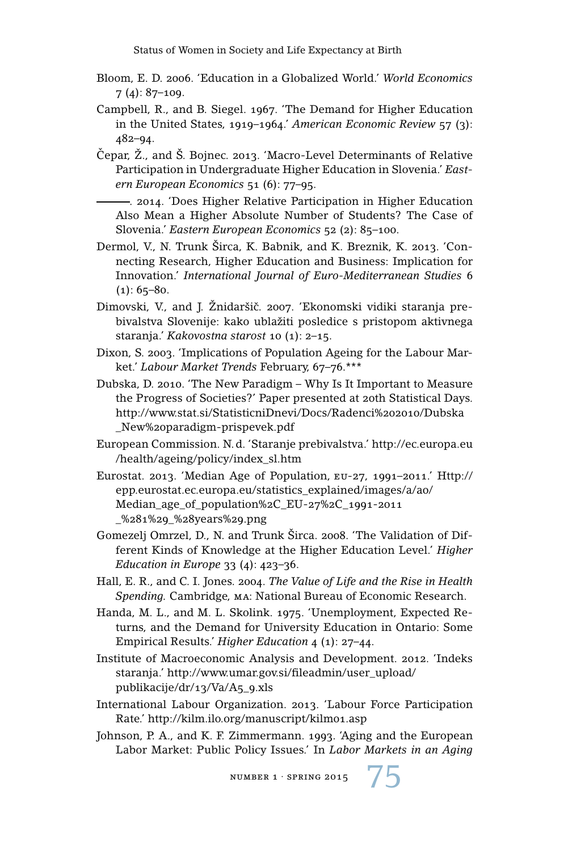- Bloom, E. D. 2006. 'Education in a Globalized World.' *World Economics* 7 (4): 87–109.
- Campbell, R., and B. Siegel. 1967. 'The Demand for Higher Education in the United States, 1919–1964.' *American Economic Review* 57 (3): 482–94.
- Čepar, Ž., and Š. Bojnec. 2013. 'Macro-Level Determinants of Relative Participation in Undergraduate Higher Education in Slovenia.' *Eastern European Economics* 51 (6): 77–95.
	- . 2014. 'Does Higher Relative Participation in Higher Education Also Mean a Higher Absolute Number of Students? The Case of Slovenia.' *Eastern European Economics* 52 (2): 85–100.
- Dermol, V., N. Trunk Širca, K. Babnik, and K. Breznik, K. 2013. 'Connecting Research, Higher Education and Business: Implication for Innovation.' *International Journal of Euro-Mediterranean Studies* 6  $(1): 65 - 80.$
- Dimovski, V., and J. Žnidaršič. 2007. 'Ekonomski vidiki staranja prebivalstva Slovenije: kako ublažiti posledice s pristopom aktivnega staranja.' *Kakovostna starost* 10 (1): 2–15.
- Dixon, S. 2003. 'Implications of Population Ageing for the Labour Market.' *Labour Market Trends* February, 67–76.\*\*\*
- Dubska, D. 2010. 'The New Paradigm Why Is It Important to Measure the Progress of Societies?' Paper presented at 20th Statistical Days. http://www.stat.si/StatisticniDnevi/Docs/Radenci%202010/Dubska \_New%20paradigm-prispevek.pdf
- European Commission. N. d. 'Staranje prebivalstva.' http://ec.europa.eu /health/ageing/policy/index\_sl.htm
- Eurostat. 2013. 'Median Age of Population, eu-27, 1991–2011.' Http:// epp.eurostat.ec.europa.eu/statistics\_explained/images/a/a0/ Median\_age\_of\_population%2C\_EU-27%2C\_1991-2011 \_%281%29\_%28years%29.png
- Gomezelj Omrzel, D., N. and Trunk Širca. 2008. 'The Validation of Different Kinds of Knowledge at the Higher Education Level.' *Higher Education in Europe* 33 (4): 423–36.
- Hall, E. R., and C. I. Jones. 2004. *The Value of Life and the Rise in Health Spending.* Cambridge, ma: National Bureau of Economic Research.
- Handa, M. L., and M. L. Skolink. 1975. 'Unemployment, Expected Returns, and the Demand for University Education in Ontario: Some Empirical Results.' *Higher Education* 4 (1): 27–44.
- Institute of Macroeconomic Analysis and Development. 2012. 'Indeks staranja.' http://www.umar.gov.si/fileadmin/user\_upload/ publikacije/dr/13/Va/A5\_9.xls
- International Labour Organization. 2013. 'Labour Force Participation Rate.' http://kilm.ilo.org/manuscript/kilm01.asp
- Johnson, P. A., and K. F. Zimmermann. 1993. 'Aging and the European Labor Market: Public Policy Issues.' In *Labor Markets in an Aging*

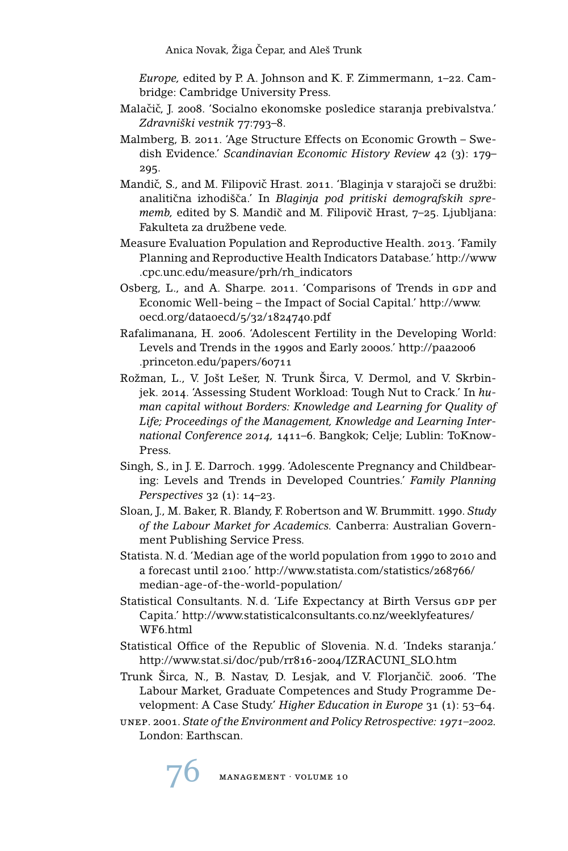*Europe,* edited by P. A. Johnson and K. F. Zimmermann, 1–22. Cambridge: Cambridge University Press.

- Malačič, J. 2008. 'Socialno ekonomske posledice staranja prebivalstva.' *Zdravniški vestnik* 77:793–8.
- Malmberg, B. 2011. 'Age Structure Effects on Economic Growth Swedish Evidence.' *Scandinavian Economic History Review* 42 (3): 179– 295.
- Mandič, S., and M. Filipovič Hrast. 2011. 'Blaginia v starajoči se družbi: analitična izhodišča.' In Blaginja pod pritiski demografskih spre*memb*, edited by S. Mandič and M. Filipovič Hrast, 7–25. Ljubljana: Fakulteta za družbene vede.
- Measure Evaluation Population and Reproductive Health. 2013. 'Family Planning and Reproductive Health Indicators Database.' http://www .cpc.unc.edu/measure/prh/rh\_indicators
- Osberg, L., and A. Sharpe. 2011. 'Comparisons of Trends in GDP and Economic Well-being – the Impact of Social Capital.' http://www. oecd.org/dataoecd/5/32/1824740.pdf
- Rafalimanana, H. 2006. 'Adolescent Fertility in the Developing World: Levels and Trends in the 1990s and Early 2000s.' http://paa2006 .princeton.edu/papers/60711
- Rožman, L., V. Jošt Lešer, N. Trunk Širca, V. Dermol, and V. Skrbinjek. 2014. 'Assessing Student Workload: Tough Nut to Crack.' In *human capital without Borders: Knowledge and Learning for Quality of Life; Proceedings of the Management, Knowledge and Learning International Conference 2014,* 1411–6. Bangkok; Celje; Lublin: ToKnow-Press.
- Singh, S., in J. E. Darroch. 1999. 'Adolescente Pregnancy and Childbearing: Levels and Trends in Developed Countries.' *Family Planning Perspectives* 32 (1): 14–23.
- Sloan, J., M. Baker, R. Blandy, F. Robertson and W. Brummitt. 1990. *Study of the Labour Market for Academics.* Canberra: Australian Government Publishing Service Press.
- Statista. N. d. 'Median age of the world population from 1990 to 2010 and a forecast until 2100.' http://www.statista.com/statistics/268766/ median-age-of-the-world-population/
- Statistical Consultants. N.d. 'Life Expectancy at Birth Versus GDP per Capita.' http://www.statisticalconsultants.co.nz/weeklyfeatures/ WF6.html
- Statistical Office of the Republic of Slovenia. N. d. 'Indeks staranja.' http://www.stat.si/doc/pub/rr816-2004/IZRACUNI\_SLO.htm
- Trunk Širca, N., B. Nastav, D. Lesjak, and V. Florjančič. 2006. 'The Labour Market, Graduate Competences and Study Programme Development: A Case Study.' *Higher Education in Europe* 31 (1): 53–64.
- unep. 2001. *State of the Environment and Policy Retrospective: 1971–2002.* London: Earthscan.

MANAGEMENT · VOLUME 10